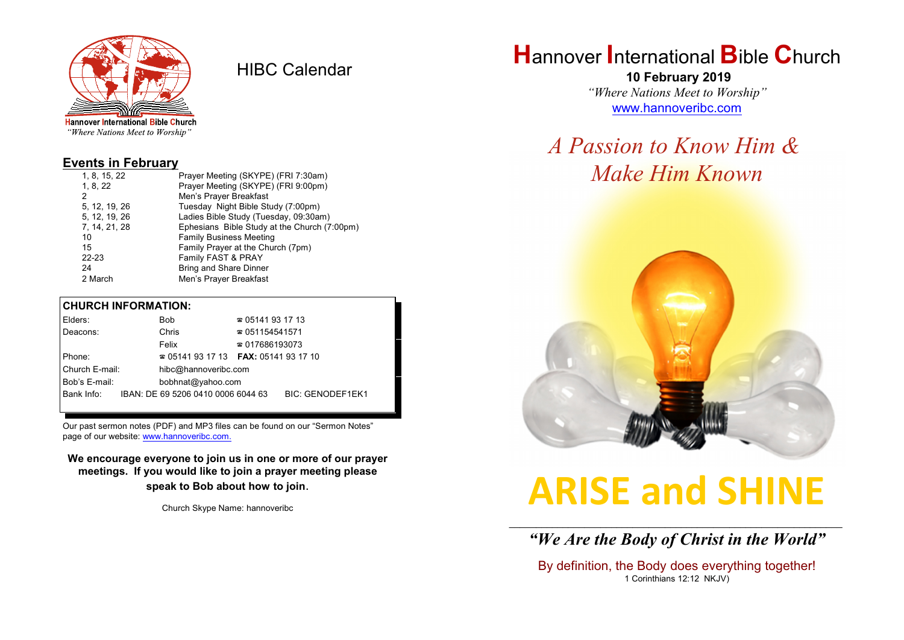

HIBC Calendar

"Where Nations Meet to Worship"

#### **Events in February**

| 1, 8, 15, 22  | Prayer Meeting (SKYPE) (FRI 7:30am)          |
|---------------|----------------------------------------------|
| 1, 8, 22      | Prayer Meeting (SKYPE) (FRI 9:00pm)          |
| 2             | Men's Prayer Breakfast                       |
| 5, 12, 19, 26 | Tuesday Night Bible Study (7:00pm)           |
| 5, 12, 19, 26 | Ladies Bible Study (Tuesday, 09:30am)        |
| 7, 14, 21, 28 | Ephesians Bible Study at the Church (7:00pm) |
| 10            | <b>Family Business Meeting</b>               |
| 15            | Family Prayer at the Church (7pm)            |
| $22 - 23$     | Family FAST & PRAY                           |
| 24            | <b>Bring and Share Dinner</b>                |
| 2 March       | Men's Prayer Breakfast                       |
|               |                                              |

#### **CHURCH INFORMATION:**

|                                    | Elders:    |       | Bob                                      | $\approx 05141931713$  |                         |  |
|------------------------------------|------------|-------|------------------------------------------|------------------------|-------------------------|--|
|                                    | Deacons:   | Chris |                                          | $\approx 051154541571$ |                         |  |
|                                    |            |       | Felix                                    | $\approx 017686193073$ |                         |  |
| Phone:                             |            |       | $\approx 05141931713$ FAX: 0514193 17 10 |                        |                         |  |
| Church E-mail:                     |            |       | hibc@hannoveribc.com                     |                        |                         |  |
| Bob's E-mail:<br>bobhnat@yahoo.com |            |       |                                          |                        |                         |  |
|                                    | Bank Info: |       | IBAN: DE 69 5206 0410 0006 6044 63       |                        | <b>BIC: GENODEF1EK1</b> |  |
|                                    |            |       |                                          |                        |                         |  |

Our past sermon notes (PDF) and MP3 files can be found on our "Sermon Notes" page of our website: [www.hannoveribc.com.](http://www.hannoveribc.com.)

**We encourage everyone to join us in one or more of our prayer meetings. If you would like to join a prayer meeting please speak to Bob about how to join**.

Church Skype Name: hannoveribc

## **H**annover **I**nternational **B**ible **C**hurch

 **10 February 2019** *"Where Nations Meet to Worship"* [www.hannoveribc.com](http://www.hannoveribc.com)

## *A Passion to Know Him & Make Him Known*



# **ARISE and SHINE**

\_\_\_\_\_\_\_\_\_\_\_\_\_\_\_\_\_\_\_\_\_\_\_\_\_\_\_\_\_\_\_\_\_\_\_\_\_\_\_\_\_\_\_\_\_\_\_\_\_\_\_\_\_\_\_\_\_\_\_\_\_\_ *"We Are the Body of Christ in the World"*

By definition, the Body does everything together! 1 Corinthians 12:12 NKJV)